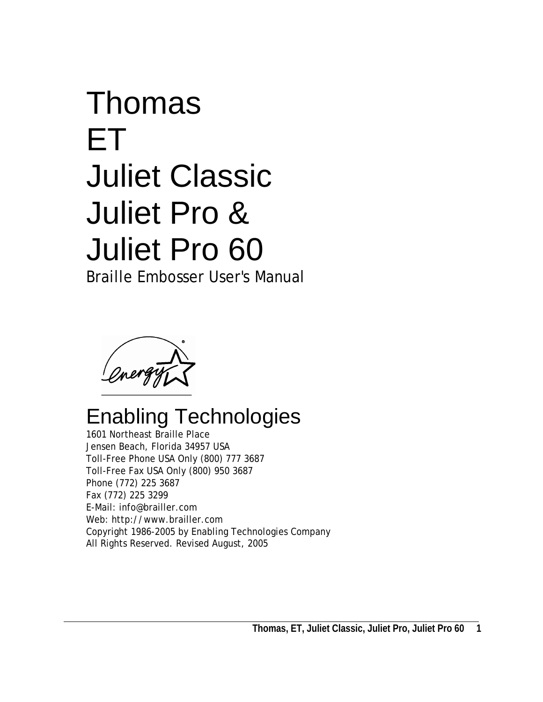# Thomas ET Juliet Classic Juliet Pro & Juliet Pro 60 Braille Embosser User's Manual

mergy

# Enabling Technologies

1601 Northeast Braille Place Jensen Beach, Florida 34957 USA Toll-Free Phone USA Only (800) 777 3687 Toll-Free Fax USA Only (800) 950 3687 Phone (772) 225 3687 Fax (772) 225 3299 E-Mail: info@brailler.com Web: http://www.brailler.com Copyright 1986-2005 by Enabling Technologies Company All Rights Reserved. Revised August, 2005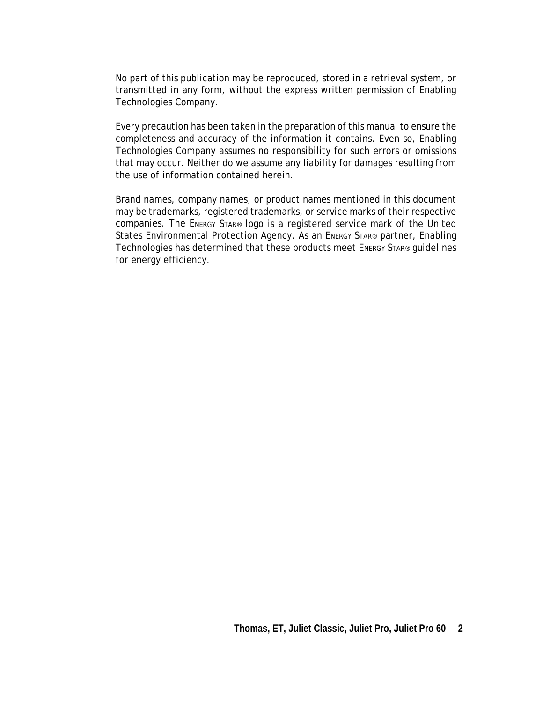No part of this publication may be reproduced, stored in a retrieval system, or transmitted in any form, without the express written permission of Enabling Technologies Company.

Every precaution has been taken in the preparation of this manual to ensure the completeness and accuracy of the information it contains. Even so, Enabling Technologies Company assumes no responsibility for such errors or omissions that may occur. Neither do we assume any liability for damages resulting from the use of information contained herein.

Brand names, company names, or product names mentioned in this document may be trademarks, registered trademarks, or service marks of their respective companies. The ENERGY STAR® logo is a registered service mark of the United States Environmental Protection Agency. As an ENERGY STAR® partner, Enabling Technologies has determined that these products meet ENERGY STAR® guidelines for energy efficiency.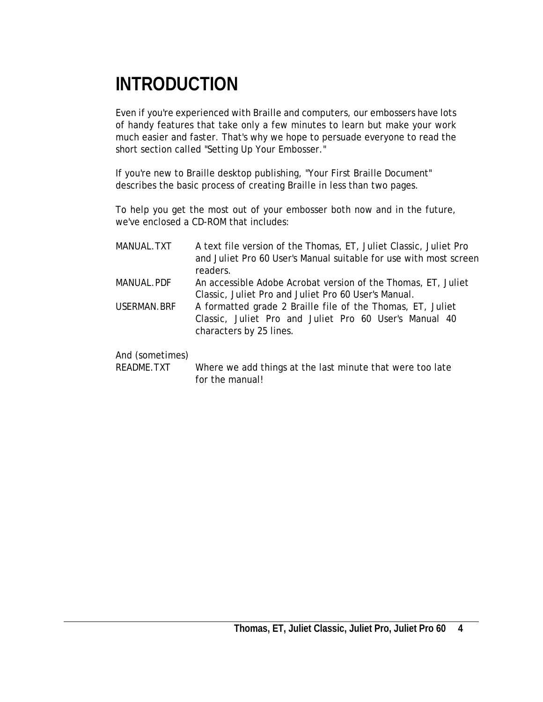# <span id="page-3-0"></span>**INTRODUCTION**

Even if you're experienced with Braille and computers, our embossers have lots of handy features that take only a few minutes to learn but make your work much easier and faster. That's why we hope to persuade everyone to read the short section called "Setting Up Your Embosser."

If you're new to Braille desktop publishing, "Your First Braille Document" describes the basic process of creating Braille in less than two pages.

To help you get the most out of your embosser both now and in the future, we've enclosed a CD-ROM that includes:

MANUAL.TXT A text file version of the Thomas, ET, Juliet Classic, Juliet Pro and Juliet Pro 60 User's Manual suitable for use with most screen readers. MANUAL.PDF An accessible Adobe Acrobat version of the Thomas, ET, Juliet Classic, Juliet Pro and Juliet Pro 60 User's Manual. USERMAN.BRF A formatted grade 2 Braille file of the Thomas, ET, Juliet Classic, Juliet Pro and Juliet Pro 60 User's Manual 40 characters by 25 lines.

#### And (sometimes)

README.TXT Where we add things at the last minute that were too late for the manual!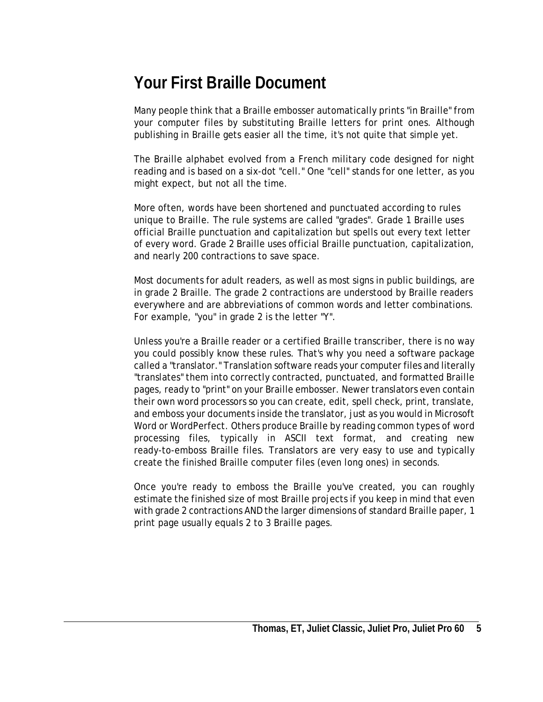## <span id="page-4-0"></span>**Your First Braille Document**

Many people think that a Braille embosser automatically prints "in Braille" from your computer files by substituting Braille letters for print ones. Although publishing in Braille gets easier all the time, it's not quite that simple yet.

The Braille alphabet evolved from a French military code designed for night reading and is based on a six-dot "cell." One "cell" stands for one letter, as you might expect, but not all the time.

More often, words have been shortened and punctuated according to rules unique to Braille. The rule systems are called "grades". Grade 1 Braille uses official Braille punctuation and capitalization but spells out every text letter of every word. Grade 2 Braille uses official Braille punctuation, capitalization, and nearly 200 contractions to save space.

Most documents for adult readers, as well as most signs in public buildings, are in grade 2 Braille. The grade 2 contractions are understood by Braille readers everywhere and are abbreviations of common words and letter combinations. For example, "you" in grade 2 is the letter "Y".

Unless you're a Braille reader or a certified Braille transcriber, there is no way you could possibly know these rules. That's why you need a software package called a "translator." Translation software reads your computer files and literally "translates" them into correctly contracted, punctuated, and formatted Braille pages, ready to "print" on your Braille embosser. Newer translators even contain their own word processors so you can create, edit, spell check, print, translate, and emboss your documents inside the translator, just as you would in Microsoft Word or WordPerfect. Others produce Braille by reading common types of word processing files, typically in ASCII text format, and creating new ready-to-emboss Braille files. Translators are very easy to use and typically create the finished Braille computer files (even long ones) in seconds.

Once you're ready to emboss the Braille you've created, you can roughly estimate the finished size of most Braille projects if you keep in mind that even with grade 2 contractions AND the larger dimensions of standard Braille paper, 1 print page usually equals 2 to 3 Braille pages.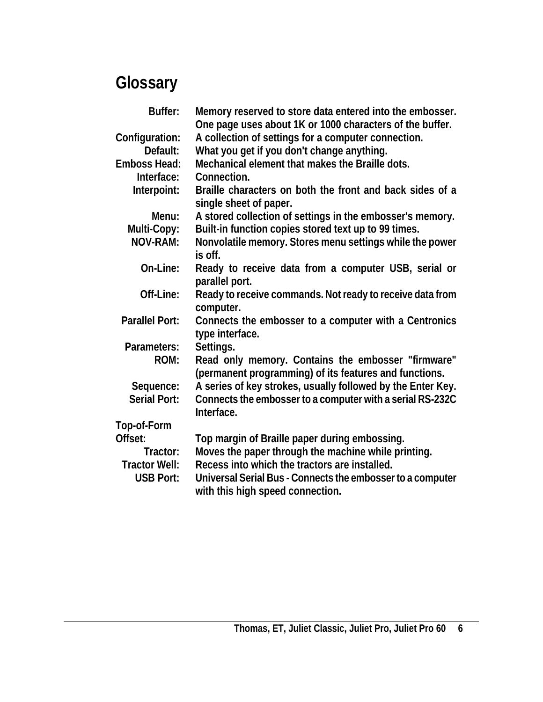# **Glossary**

<span id="page-5-0"></span>

| Buffer:               | Memory reserved to store data entered into the embosser.<br>One page uses about 1K or 1000 characters of the buffer. |
|-----------------------|----------------------------------------------------------------------------------------------------------------------|
| Configuration:        | A collection of settings for a computer connection.                                                                  |
| Default:              | What you get if you don't change anything.                                                                           |
| <b>Emboss Head:</b>   | Mechanical element that makes the Braille dots.                                                                      |
| Interface:            | Connection.                                                                                                          |
| Interpoint:           | Braille characters on both the front and back sides of a<br>single sheet of paper.                                   |
| Menu:                 | A stored collection of settings in the embosser's memory.                                                            |
| Multi-Copy:           | Built-in function copies stored text up to 99 times.                                                                 |
| <b>NOV-RAM:</b>       | Nonvolatile memory. Stores menu settings while the power<br>is off.                                                  |
| On-Line:              | Ready to receive data from a computer USB, serial or<br>parallel port.                                               |
| Off-Line:             | Ready to receive commands. Not ready to receive data from<br>computer.                                               |
| <b>Parallel Port:</b> | Connects the embosser to a computer with a Centronics<br>type interface.                                             |
| Parameters:           | Settings.                                                                                                            |
| ROM:                  | Read only memory. Contains the embosser "firmware"<br>(permanent programming) of its features and functions.         |
| Sequence:             | A series of key strokes, usually followed by the Enter Key.                                                          |
| <b>Serial Port:</b>   | Connects the embosser to a computer with a serial RS-232C<br>Interface.                                              |
| Top-of-Form           |                                                                                                                      |
| Offset:               | Top margin of Braille paper during embossing.                                                                        |
| Tractor:              | Moves the paper through the machine while printing.                                                                  |
| <b>Tractor Well:</b>  | Recess into which the tractors are installed.                                                                        |
| <b>USB Port:</b>      | Universal Serial Bus - Connects the embosser to a computer<br>with this high speed connection.                       |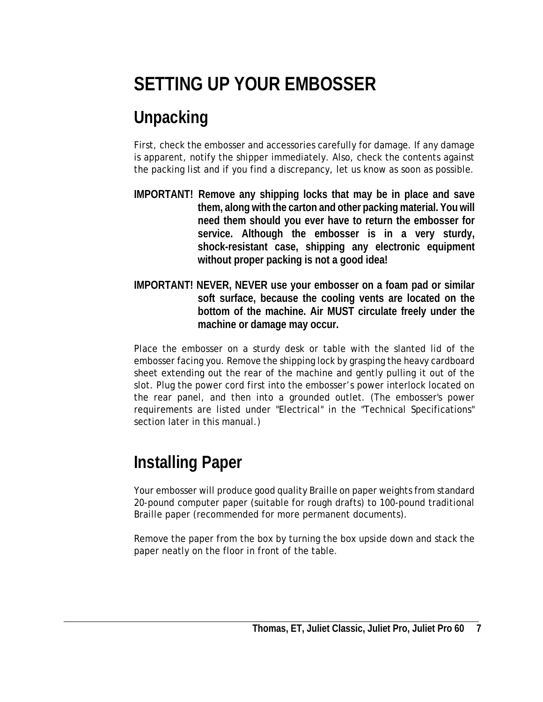# <span id="page-6-0"></span>**SETTING UP YOUR EMBOSSER**

# **Unpacking**

First, check the embosser and accessories carefully for damage. If any damage is apparent, notify the shipper immediately. Also, check the contents against the packing list and if you find a discrepancy, let us know as soon as possible.

- **IMPORTANT! Remove any shipping locks that may be in place and save them, along with the carton and other packing material. You will need them should you ever have to return the embosser for service. Although the embosser is in a very sturdy, shock-resistant case, shipping any electronic equipment without proper packing is not a good idea!**
- **IMPORTANT! NEVER, NEVER use your embosser on a foam pad or similar soft surface, because the cooling vents are located on the bottom of the machine. Air MUST circulate freely under the machine or damage may occur.**

Place the embosser on a sturdy desk or table with the slanted lid of the embosser facing you. Remove the shipping lock by grasping the heavy cardboard sheet extending out the rear of the machine and gently pulling it out of the slot. Plug the power cord first into the embosser's power interlock located on the rear panel, and then into a grounded outlet. (The embosser's power requirements are listed under "Electrical" in the "Technical Specifications" section later in this manual.)

# **Installing Paper**

Your embosser will produce good quality Braille on paper weights from standard 20-pound computer paper (suitable for rough drafts) to 100-pound traditional Braille paper (recommended for more permanent documents).

Remove the paper from the box by turning the box upside down and stack the paper neatly on the floor in front of the table.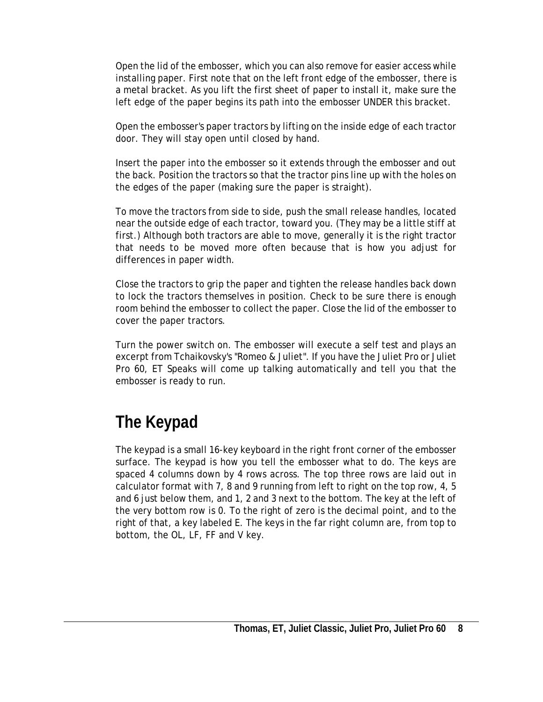<span id="page-7-0"></span>Open the lid of the embosser, which you can also remove for easier access while installing paper. First note that on the left front edge of the embosser, there is a metal bracket. As you lift the first sheet of paper to install it, make sure the left edge of the paper begins its path into the embosser UNDER this bracket.

Open the embosser's paper tractors by lifting on the inside edge of each tractor door. They will stay open until closed by hand.

Insert the paper into the embosser so it extends through the embosser and out the back. Position the tractors so that the tractor pins line up with the holes on the edges of the paper (making sure the paper is straight).

To move the tractors from side to side, push the small release handles, located near the outside edge of each tractor, toward you. (They may be a little stiff at first.) Although both tractors are able to move, generally it is the right tractor that needs to be moved more often because that is how you adjust for differences in paper width.

Close the tractors to grip the paper and tighten the release handles back down to lock the tractors themselves in position. Check to be sure there is enough room behind the embosser to collect the paper. Close the lid of the embosser to cover the paper tractors.

Turn the power switch on. The embosser will execute a self test and plays an excerpt from Tchaikovsky's "Romeo & Juliet". If you have the Juliet Pro or Juliet Pro 60, ET Speaks will come up talking automatically and tell you that the embosser is ready to run.

# **The Keypad**

The keypad is a small 16-key keyboard in the right front corner of the embosser surface. The keypad is how you tell the embosser what to do. The keys are spaced 4 columns down by 4 rows across. The top three rows are laid out in calculator format with 7, 8 and 9 running from left to right on the top row, 4, 5 and 6 just below them, and 1, 2 and 3 next to the bottom. The key at the left of the very bottom row is 0. To the right of zero is the decimal point, and to the right of that, a key labeled E. The keys in the far right column are, from top to bottom, the OL, LF, FF and V key.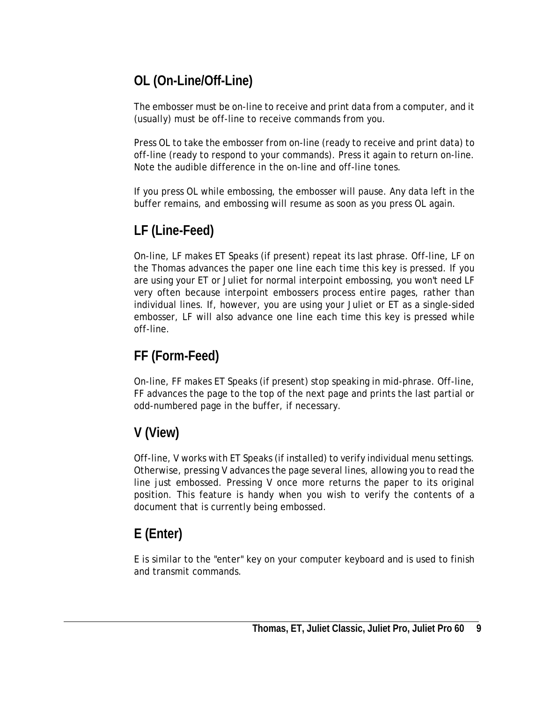## **OL (On-Line/Off-Line)**

The embosser must be on-line to receive and print data from a computer, and it (usually) must be off-line to receive commands from you.

Press OL to take the embosser from on-line (ready to receive and print data) to off-line (ready to respond to your commands). Press it again to return on-line. Note the audible difference in the on-line and off-line tones.

If you press OL while embossing, the embosser will pause. Any data left in the buffer remains, and embossing will resume as soon as you press OL again.

## **LF (Line-Feed)**

On-line, LF makes ET Speaks (if present) repeat its last phrase. Off-line, LF on the Thomas advances the paper one line each time this key is pressed. If you are using your ET or Juliet for normal interpoint embossing, you won't need LF very often because interpoint embossers process entire pages, rather than individual lines. If, however, you are using your Juliet or ET as a single-sided embosser, LF will also advance one line each time this key is pressed while off-line.

## **FF (Form-Feed)**

On-line, FF makes ET Speaks (if present) stop speaking in mid-phrase. Off-line, FF advances the page to the top of the next page and prints the last partial or odd-numbered page in the buffer, if necessary.

## **V (View)**

Off-line, V works with ET Speaks (if installed) to verify individual menu settings. Otherwise, pressing V advances the page several lines, allowing you to read the line just embossed. Pressing V once more returns the paper to its original position. This feature is handy when you wish to verify the contents of a document that is currently being embossed.

## **E (Enter)**

E is similar to the "enter" key on your computer keyboard and is used to finish and transmit commands.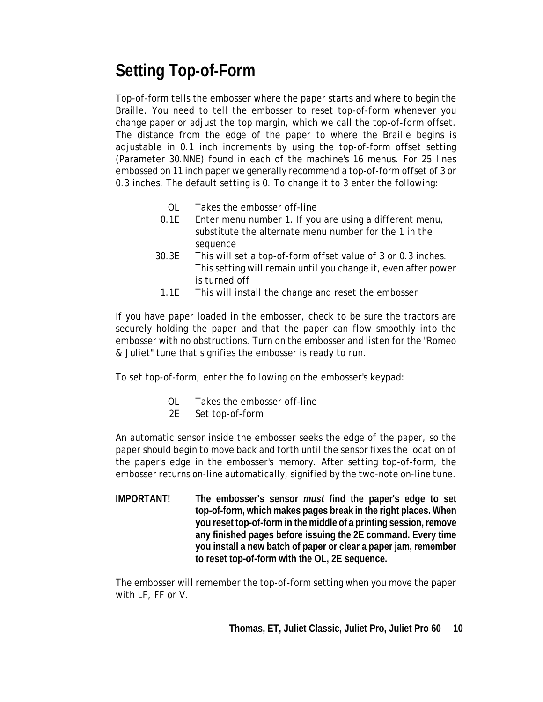# <span id="page-9-0"></span>**Setting Top-of-Form**

Top-of-form tells the embosser where the paper starts and where to begin the Braille. You need to tell the embosser to reset top-of-form whenever you change paper or adjust the top margin, which we call the top-of-form offset. The distance from the edge of the paper to where the Braille begins is adjustable in 0.1 inch increments by using the top-of-form offset setting (Parameter 30.NNE) found in each of the machine's 16 menus. For 25 lines embossed on 11 inch paper we generally recommend a top-of-form offset of 3 or 0.3 inches. The default setting is 0. To change it to 3 enter the following:

- OL Takes the embosser off-line
- 0.1E Enter menu number 1. If you are using a different menu, substitute the alternate menu number for the 1 in the sequence
- 30.3E This will set a top-of-form offset value of 3 or 0.3 inches. This setting will remain until you change it, even after power is turned off
- 1.1E This will install the change and reset the embosser

If you have paper loaded in the embosser, check to be sure the tractors are securely holding the paper and that the paper can flow smoothly into the embosser with no obstructions. Turn on the embosser and listen for the "Romeo & Juliet" tune that signifies the embosser is ready to run.

To set top-of-form, enter the following on the embosser's keypad:

- OL Takes the embosser off-line
- 2E Set top-of-form

An automatic sensor inside the embosser seeks the edge of the paper, so the paper should begin to move back and forth until the sensor fixes the location of the paper's edge in the embosser's memory. After setting top-of-form, the embosser returns on-line automatically, signified by the two-note on-line tune.

**IMPORTANT! The embosser's sensor** *must* **find the paper's edge to set top-of-form, which makes pages break in the right places. When you reset top-of-form in the middle of a printing session, remove any finished pages before issuing the 2E command. Every time you install a new batch of paper or clear a paper jam, remember to reset top-of-form with the OL, 2E sequence.** 

The embosser will remember the top-of-form setting when you move the paper with LF, FF or V.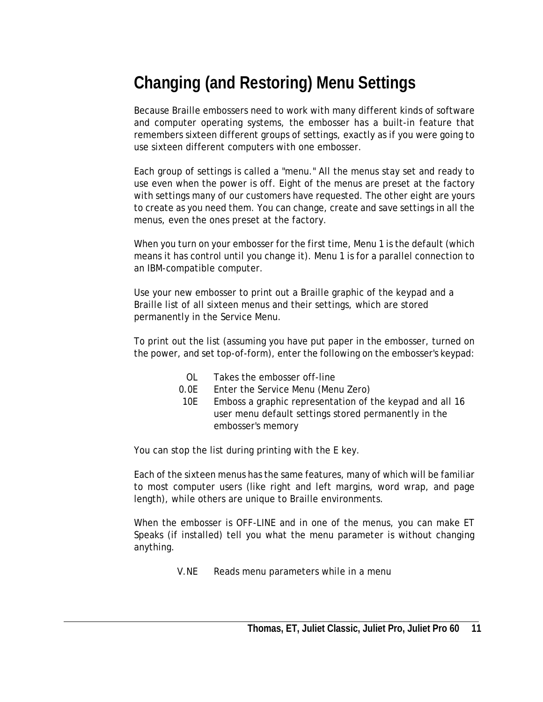# <span id="page-10-0"></span>**Changing (and Restoring) Menu Settings**

Because Braille embossers need to work with many different kinds of software and computer operating systems, the embosser has a built-in feature that remembers sixteen different groups of settings, exactly as if you were going to use sixteen different computers with one embosser.

Each group of settings is called a "menu." All the menus stay set and ready to use even when the power is off. Eight of the menus are preset at the factory with settings many of our customers have requested. The other eight are yours to create as you need them. You can change, create and save settings in all the menus, even the ones preset at the factory.

When you turn on your embosser for the first time, Menu 1 is the default (which means it has control until you change it). Menu 1 is for a parallel connection to an IBM-compatible computer.

Use your new embosser to print out a Braille graphic of the keypad and a Braille list of all sixteen menus and their settings, which are stored permanently in the Service Menu.

To print out the list (assuming you have put paper in the embosser, turned on the power, and set top-of-form), enter the following on the embosser's keypad:

- OL Takes the embosser off-line
- 0.0E Enter the Service Menu (Menu Zero)
- 10E Emboss a graphic representation of the keypad and all 16 user menu default settings stored permanently in the embosser's memory

You can stop the list during printing with the E key.

Each of the sixteen menus has the same features, many of which will be familiar to most computer users (like right and left margins, word wrap, and page length), while others are unique to Braille environments.

When the embosser is OFF-LINE and in one of the menus, you can make ET Speaks (if installed) tell you what the menu parameter is without changing anything.

V.NE Reads menu parameters while in a menu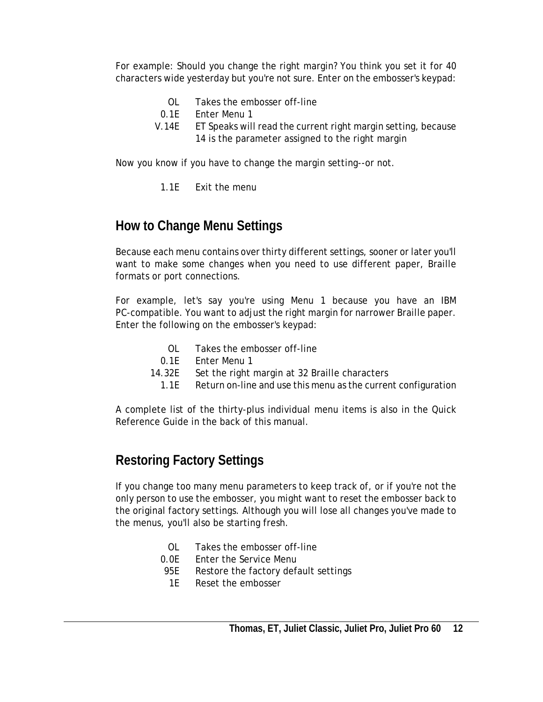For example: Should you change the right margin? You think you set it for 40 characters wide yesterday but you're not sure. Enter on the embosser's keypad:

- OL Takes the embosser off-line
- 0.1E Enter Menu 1
- V.14E ET Speaks will read the current right margin setting, because 14 is the parameter assigned to the right margin

Now you know if you have to change the margin setting--or not.

1.1E Exit the menu

### **How to Change Menu Settings**

Because each menu contains over thirty different settings, sooner or later you'll want to make some changes when you need to use different paper, Braille formats or port connections.

For example, let's say you're using Menu 1 because you have an IBM PC-compatible. You want to adjust the right margin for narrower Braille paper. Enter the following on the embosser's keypad:

- OL Takes the embosser off-line
- 0.1E Enter Menu 1
- 14.32E Set the right margin at 32 Braille characters
- 1.1E Return on-line and use this menu as the current configuration

A complete list of the thirty-plus individual menu items is also in the Quick Reference Guide in the back of this manual.

## **Restoring Factory Settings**

If you change too many menu parameters to keep track of, or if you're not the only person to use the embosser, you might want to reset the embosser back to the original factory settings. Although you will lose all changes you've made to the menus, you'll also be starting fresh.

- OL Takes the embosser off-line
- 0.0E Enter the Service Menu
- 95E Restore the factory default settings
- 1E Reset the embosser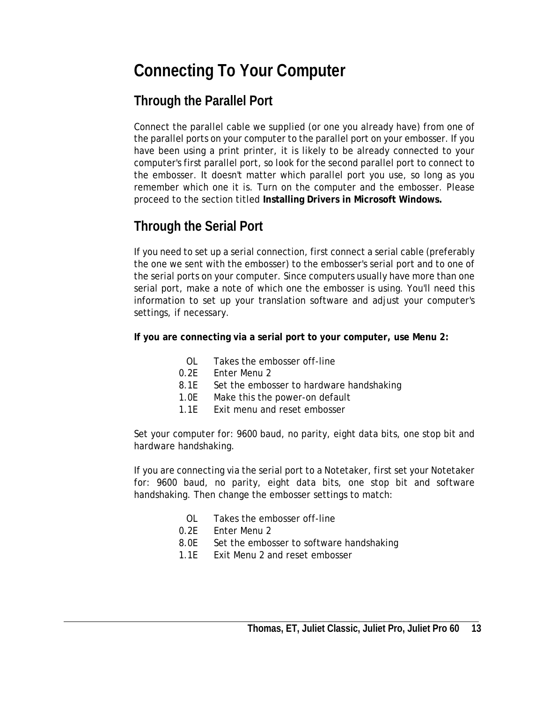## <span id="page-12-0"></span>**Connecting To Your Computer**

## **Through the Parallel Port**

Connect the parallel cable we supplied (or one you already have) from one of the parallel ports on your computer to the parallel port on your embosser. If you have been using a print printer, it is likely to be already connected to your computer's first parallel port, so look for the second parallel port to connect to the embosser. It doesn't matter which parallel port you use, so long as you remember which one it is. Turn on the computer and the embosser. Please proceed to the section titled **Installing Drivers in Microsoft Windows.**

## **Through the Serial Port**

If you need to set up a serial connection, first connect a serial cable (preferably the one we sent with the embosser) to the embosser's serial port and to one of the serial ports on your computer. Since computers usually have more than one serial port, make a note of which one the embosser is using. You'll need this information to set up your translation software and adjust your computer's settings, if necessary.

**If you are connecting via a serial port to your computer, use Menu 2:** 

- OL Takes the embosser off-line
- 0.2E Enter Menu 2
- 8.1E Set the embosser to hardware handshaking
- 1.0E Make this the power-on default
- 1.1E Exit menu and reset embosser

Set your computer for: 9600 baud, no parity, eight data bits, one stop bit and hardware handshaking.

If you are connecting via the serial port to a Notetaker, first set your Notetaker for: 9600 baud, no parity, eight data bits, one stop bit and software handshaking. Then change the embosser settings to match:

- OL Takes the embosser off-line
- 0.2E Enter Menu 2
- 8.0E Set the embosser to software handshaking
- 1.1E Exit Menu 2 and reset embosser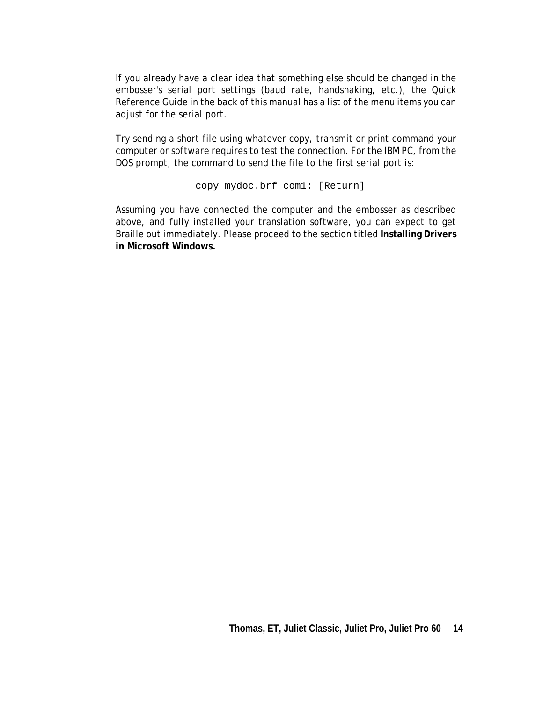If you already have a clear idea that something else should be changed in the embosser's serial port settings (baud rate, handshaking, etc.), the Quick Reference Guide in the back of this manual has a list of the menu items you can adjust for the serial port.

Try sending a short file using whatever copy, transmit or print command your computer or software requires to test the connection. For the IBM PC, from the DOS prompt, the command to send the file to the first serial port is:

copy mydoc.brf com1: [Return]

Assuming you have connected the computer and the embosser as described above, and fully installed your translation software, you can expect to get Braille out immediately. Please proceed to the section titled **Installing Drivers in Microsoft Windows.**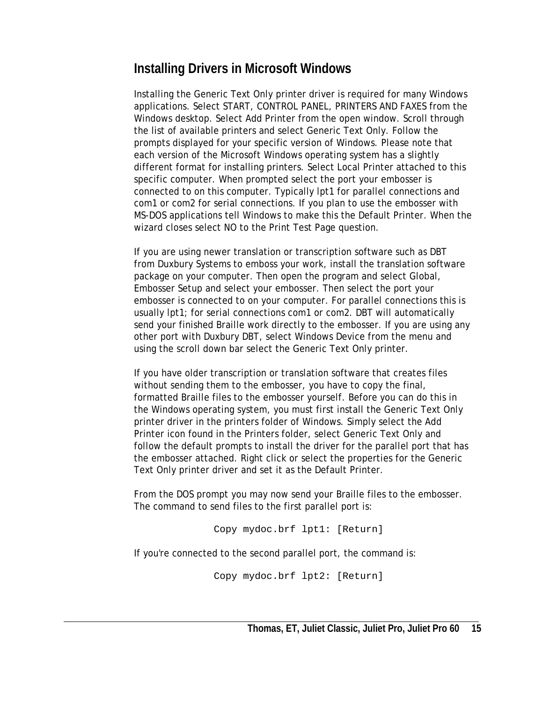### **Installing Drivers in Microsoft Windows**

Installing the Generic Text Only printer driver is required for many Windows applications. Select START, CONTROL PANEL, PRINTERS AND FAXES from the Windows desktop. Select Add Printer from the open window. Scroll through the list of available printers and select Generic Text Only. Follow the prompts displayed for your specific version of Windows. Please note that each version of the Microsoft Windows operating system has a slightly different format for installing printers. Select Local Printer attached to this specific computer. When prompted select the port your embosser is connected to on this computer. Typically lpt1 for parallel connections and com1 or com2 for serial connections. If you plan to use the embosser with MS-DOS applications tell Windows to make this the Default Printer. When the wizard closes select NO to the Print Test Page question.

If you are using newer translation or transcription software such as DBT from Duxbury Systems to emboss your work, install the translation software package on your computer. Then open the program and select Global, Embosser Setup and select your embosser. Then select the port your embosser is connected to on your computer. For parallel connections this is usually lpt1; for serial connections com1 or com2. DBT will automatically send your finished Braille work directly to the embosser. If you are using any other port with Duxbury DBT, select Windows Device from the menu and using the scroll down bar select the Generic Text Only printer.

If you have older transcription or translation software that creates files without sending them to the embosser, you have to copy the final, formatted Braille files to the embosser yourself. Before you can do this in the Windows operating system, you must first install the Generic Text Only printer driver in the printers folder of Windows. Simply select the Add Printer icon found in the Printers folder, select Generic Text Only and follow the default prompts to install the driver for the parallel port that has the embosser attached. Right click or select the properties for the Generic Text Only printer driver and set it as the Default Printer.

From the DOS prompt you may now send your Braille files to the embosser. The command to send files to the first parallel port is:

Copy mydoc.brf lpt1: [Return]

If you're connected to the second parallel port, the command is:

Copy mydoc.brf lpt2: [Return]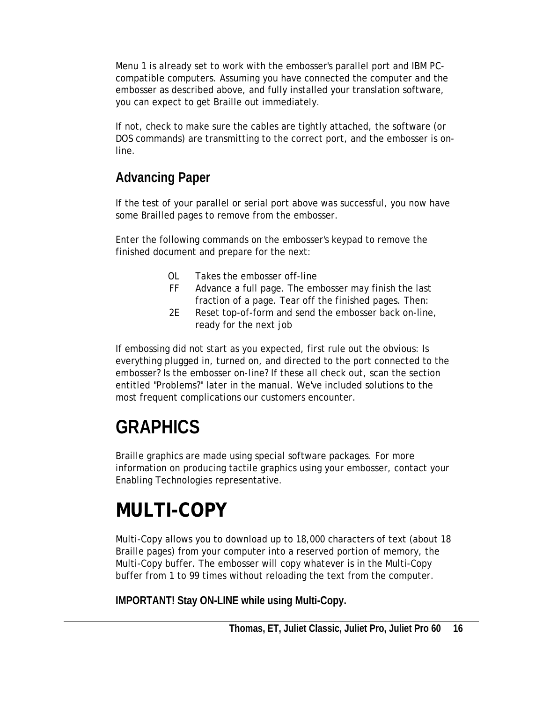<span id="page-15-0"></span>Menu 1 is already set to work with the embosser's parallel port and IBM PCcompatible computers. Assuming you have connected the computer and the embosser as described above, and fully installed your translation software, you can expect to get Braille out immediately.

If not, check to make sure the cables are tightly attached, the software (or DOS commands) are transmitting to the correct port, and the embosser is online.

## **Advancing Paper**

If the test of your parallel or serial port above was successful, you now have some Brailled pages to remove from the embosser.

Enter the following commands on the embosser's keypad to remove the finished document and prepare for the next:

- OL Takes the embosser off-line
- FF Advance a full page. The embosser may finish the last fraction of a page. Tear off the finished pages. Then:
- 2E Reset top-of-form and send the embosser back on-line, ready for the next job

If embossing did not start as you expected, first rule out the obvious: Is everything plugged in, turned on, and directed to the port connected to the embosser? Is the embosser on-line? If these all check out, scan the section entitled "Problems?" later in the manual. We've included solutions to the most frequent complications our customers encounter.

# **GRAPHICS**

Braille graphics are made using special software packages. For more information on producing tactile graphics using your embosser, contact your Enabling Technologies representative.

# **MULTI-COPY**

Multi-Copy allows you to download up to 18,000 characters of text (about 18 Braille pages) from your computer into a reserved portion of memory, the Multi-Copy buffer. The embosser will copy whatever is in the Multi-Copy buffer from 1 to 99 times without reloading the text from the computer.

**IMPORTANT! Stay ON-LINE while using Multi-Copy.**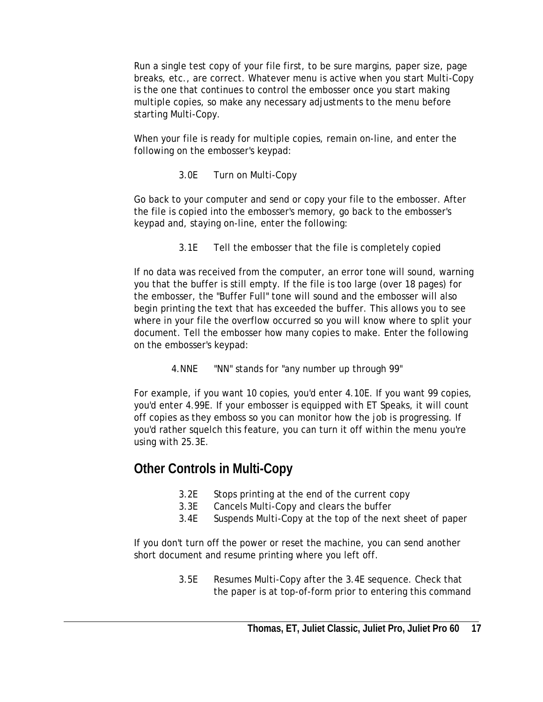Run a single test copy of your file first, to be sure margins, paper size, page breaks, etc., are correct. Whatever menu is active when you start Multi-Copy is the one that continues to control the embosser once you start making multiple copies, so make any necessary adjustments to the menu before starting Multi-Copy.

When your file is ready for multiple copies, remain on-line, and enter the following on the embosser's keypad:

3.0E Turn on Multi-Copy

Go back to your computer and send or copy your file to the embosser. After the file is copied into the embosser's memory, go back to the embosser's keypad and, staying on-line, enter the following:

3.1E Tell the embosser that the file is completely copied

If no data was received from the computer, an error tone will sound, warning you that the buffer is still empty. If the file is too large (over 18 pages) for the embosser, the "Buffer Full" tone will sound and the embosser will also begin printing the text that has exceeded the buffer. This allows you to see where in your file the overflow occurred so you will know where to split your document. Tell the embosser how many copies to make. Enter the following on the embosser's keypad:

4.NNE "NN" stands for "any number up through 99"

For example, if you want 10 copies, you'd enter 4.10E. If you want 99 copies, you'd enter 4.99E. If your embosser is equipped with ET Speaks, it will count off copies as they emboss so you can monitor how the job is progressing. If you'd rather squelch this feature, you can turn it off within the menu you're using with 25.3E.

### **Other Controls in Multi-Copy**

- 3.2E Stops printing at the end of the current copy
- 3.3E Cancels Multi-Copy and clears the buffer
- 3.4E Suspends Multi-Copy at the top of the next sheet of paper

If you don't turn off the power or reset the machine, you can send another short document and resume printing where you left off.

> 3.5E Resumes Multi-Copy after the 3.4E sequence. Check that the paper is at top-of-form prior to entering this command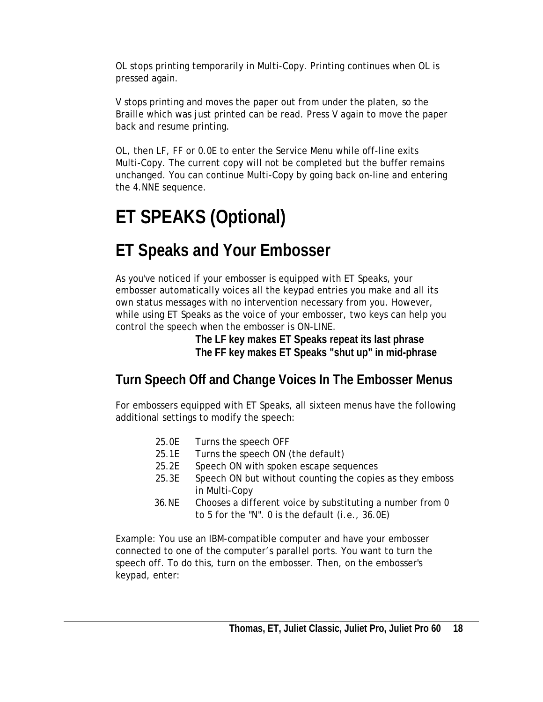<span id="page-17-0"></span>OL stops printing temporarily in Multi-Copy. Printing continues when OL is pressed again.

V stops printing and moves the paper out from under the platen, so the Braille which was just printed can be read. Press V again to move the paper back and resume printing.

OL, then LF, FF or 0.0E to enter the Service Menu while off-line exits Multi-Copy. The current copy will not be completed but the buffer remains unchanged. You can continue Multi-Copy by going back on-line and entering the 4.NNE sequence.

# **ET SPEAKS (Optional)**

# **ET Speaks and Your Embosser**

As you've noticed if your embosser is equipped with ET Speaks, your embosser automatically voices all the keypad entries you make and all its own status messages with no intervention necessary from you. However, while using ET Speaks as the voice of your embosser, two keys can help you control the speech when the embosser is ON-LINE.

 **The LF key makes ET Speaks repeat its last phrase The FF key makes ET Speaks "shut up" in mid-phrase** 

## **Turn Speech Off and Change Voices In The Embosser Menus**

For embossers equipped with ET Speaks, all sixteen menus have the following additional settings to modify the speech:

- 25.0E Turns the speech OFF
- 25.1E Turns the speech ON (the default)
- 25.2E Speech ON with spoken escape sequences
- 25.3E Speech ON but without counting the copies as they emboss in Multi-Copy
- 36.NE Chooses a different voice by substituting a number from 0 to 5 for the "N". 0 is the default (i.e., 36.0E)

Example: You use an IBM-compatible computer and have your embosser connected to one of the computer's parallel ports. You want to turn the speech off. To do this, turn on the embosser. Then, on the embosser's keypad, enter: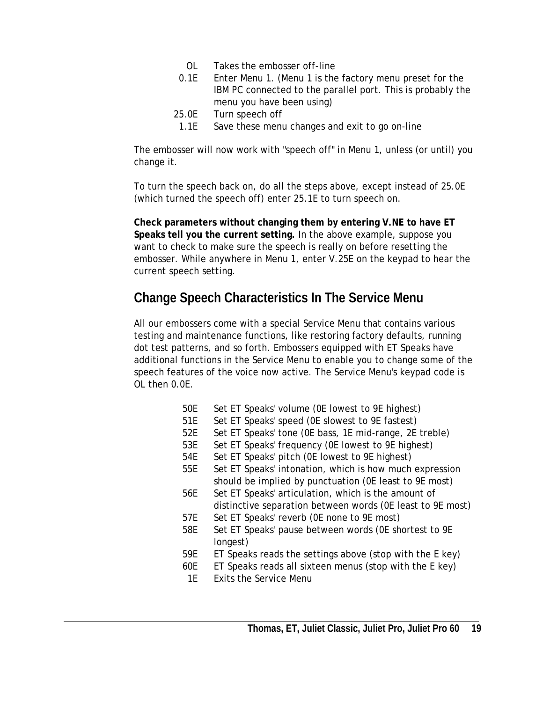- OL Takes the embosser off-line
- 0.1E Enter Menu 1. (Menu 1 is the factory menu preset for the IBM PC connected to the parallel port. This is probably the menu you have been using)
- 25.0E Turn speech off
- 1.1E Save these menu changes and exit to go on-line

The embosser will now work with "speech off" in Menu 1, unless (or until) you change it.

To turn the speech back on, do all the steps above, except instead of 25.0E (which turned the speech off) enter 25.1E to turn speech on.

**Check parameters without changing them by entering V.NE to have ET Speaks tell you the current setting.** In the above example, suppose you want to check to make sure the speech is really on before resetting the embosser. While anywhere in Menu 1, enter V.25E on the keypad to hear the current speech setting.

### **Change Speech Characteristics In The Service Menu**

All our embossers come with a special Service Menu that contains various testing and maintenance functions, like restoring factory defaults, running dot test patterns, and so forth. Embossers equipped with ET Speaks have additional functions in the Service Menu to enable you to change some of the speech features of the voice now active. The Service Menu's keypad code is OL then 0.0E.

- 50E Set ET Speaks' volume (0E lowest to 9E highest)
- 51E Set ET Speaks' speed (0E slowest to 9E fastest)
- 52E Set ET Speaks' tone (0E bass, 1E mid-range, 2E treble)
- 53E Set ET Speaks' frequency (0E lowest to 9E highest)
- 54E Set ET Speaks' pitch (0E lowest to 9E highest)
- 55E Set ET Speaks' intonation, which is how much expression should be implied by punctuation (0E least to 9E most)
- 56E Set ET Speaks' articulation, which is the amount of distinctive separation between words (0E least to 9E most)
- 57E Set ET Speaks' reverb (0E none to 9E most)
- 58E Set ET Speaks' pause between words (0E shortest to 9E longest)
- 59E ET Speaks reads the settings above (stop with the E key)
- 60E ET Speaks reads all sixteen menus (stop with the E key)
- 1E Exits the Service Menu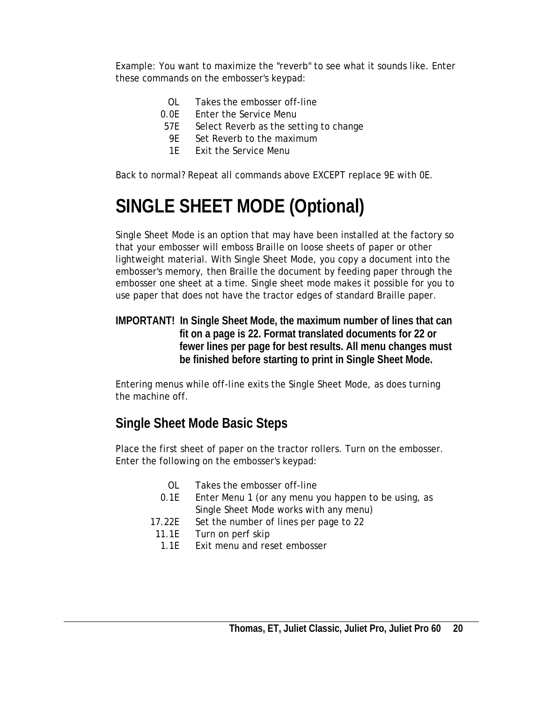<span id="page-19-0"></span>Example: You want to maximize the "reverb" to see what it sounds like. Enter these commands on the embosser's keypad:

- OL Takes the embosser off-line
- 0.0E Enter the Service Menu
	- 57E Select Reverb as the setting to change
	- 9E Set Reverb to the maximum
	- 1E Exit the Service Menu

Back to normal? Repeat all commands above EXCEPT replace 9E with 0E.

# **SINGLE SHEET MODE (Optional)**

Single Sheet Mode is an option that may have been installed at the factory so that your embosser will emboss Braille on loose sheets of paper or other lightweight material. With Single Sheet Mode, you copy a document into the embosser's memory, then Braille the document by feeding paper through the embosser one sheet at a time. Single sheet mode makes it possible for you to use paper that does not have the tractor edges of standard Braille paper.

**IMPORTANT! In Single Sheet Mode, the maximum number of lines that can fit on a page is 22. Format translated documents for 22 or fewer lines per page for best results. All menu changes must be finished before starting to print in Single Sheet Mode.** 

Entering menus while off-line exits the Single Sheet Mode, as does turning the machine off.

## **Single Sheet Mode Basic Steps**

Place the first sheet of paper on the tractor rollers. Turn on the embosser. Enter the following on the embosser's keypad:

- OL Takes the embosser off-line
- 0.1E Enter Menu 1 (or any menu you happen to be using, as Single Sheet Mode works with any menu)
- 17.22E Set the number of lines per page to 22
- 11.1E Turn on perf skip
- 1.1E Exit menu and reset embosser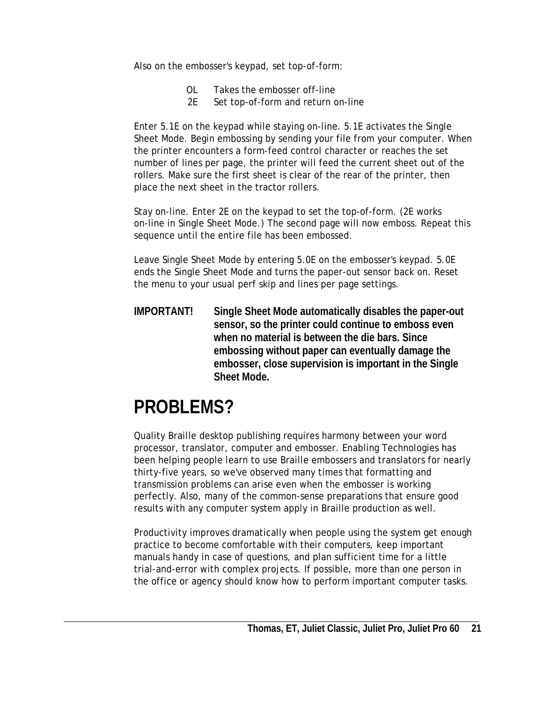<span id="page-20-0"></span>Also on the embosser's keypad, set top-of-form:

- OL Takes the embosser off-line
- 2E Set top-of-form and return on-line

Enter 5.1E on the keypad while staying on-line. 5.1E activates the Single Sheet Mode. Begin embossing by sending your file from your computer. When the printer encounters a form-feed control character or reaches the set number of lines per page, the printer will feed the current sheet out of the rollers. Make sure the first sheet is clear of the rear of the printer, then place the next sheet in the tractor rollers.

Stay on-line. Enter 2E on the keypad to set the top-of-form. (2E works on-line in Single Sheet Mode.) The second page will now emboss. Repeat this sequence until the entire file has been embossed.

Leave Single Sheet Mode by entering 5.0E on the embosser's keypad. 5.0E ends the Single Sheet Mode and turns the paper-out sensor back on. Reset the menu to your usual perf skip and lines per page settings.

**IMPORTANT! Single Sheet Mode automatically disables the paper-out sensor, so the printer could continue to emboss even when no material is between the die bars. Since embossing without paper can eventually damage the embosser, close supervision is important in the Single Sheet Mode.** 

# **PROBLEMS?**

Quality Braille desktop publishing requires harmony between your word processor, translator, computer and embosser. Enabling Technologies has been helping people learn to use Braille embossers and translators for nearly thirty-five years, so we've observed many times that formatting and transmission problems can arise even when the embosser is working perfectly. Also, many of the common-sense preparations that ensure good results with any computer system apply in Braille production as well.

Productivity improves dramatically when people using the system get enough practice to become comfortable with their computers, keep important manuals handy in case of questions, and plan sufficient time for a little trial-and-error with complex projects. If possible, more than one person in the office or agency should know how to perform important computer tasks.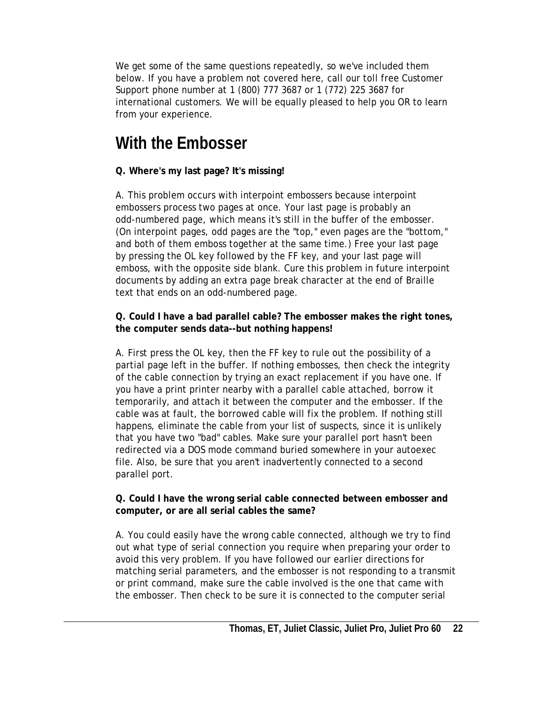<span id="page-21-0"></span>We get some of the same questions repeatedly, so we've included them below. If you have a problem not covered here, call our toll free Customer Support phone number at 1 (800) 777 3687 or 1 (772) 225 3687 for international customers. We will be equally pleased to help you OR to learn from your experience.

## **With the Embosser**

#### **Q. Where's my last page? It's missing!**

A. This problem occurs with interpoint embossers because interpoint embossers process two pages at once. Your last page is probably an odd-numbered page, which means it's still in the buffer of the embosser. (On interpoint pages, odd pages are the "top," even pages are the "bottom," and both of them emboss together at the same time.) Free your last page by pressing the OL key followed by the FF key, and your last page will emboss, with the opposite side blank. Cure this problem in future interpoint documents by adding an extra page break character at the end of Braille text that ends on an odd-numbered page.

#### **Q. Could I have a bad parallel cable? The embosser makes the right tones, the computer sends data--but nothing happens!**

A. First press the OL key, then the FF key to rule out the possibility of a partial page left in the buffer. If nothing embosses, then check the integrity of the cable connection by trying an exact replacement if you have one. If you have a print printer nearby with a parallel cable attached, borrow it temporarily, and attach it between the computer and the embosser. If the cable was at fault, the borrowed cable will fix the problem. If nothing still happens, eliminate the cable from your list of suspects, since it is unlikely that you have two "bad" cables. Make sure your parallel port hasn't been redirected via a DOS mode command buried somewhere in your autoexec file. Also, be sure that you aren't inadvertently connected to a second parallel port.

#### **Q. Could I have the wrong serial cable connected between embosser and computer, or are all serial cables the same?**

A. You could easily have the wrong cable connected, although we try to find out what type of serial connection you require when preparing your order to avoid this very problem. If you have followed our earlier directions for matching serial parameters, and the embosser is not responding to a transmit or print command, make sure the cable involved is the one that came with the embosser. Then check to be sure it is connected to the computer serial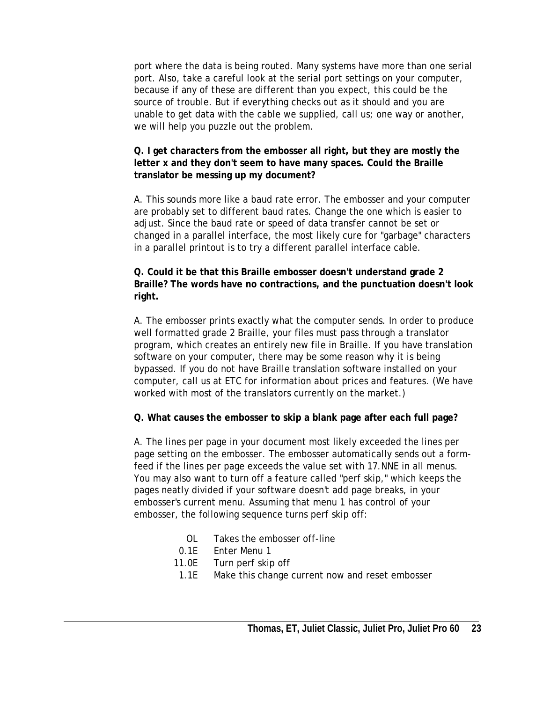port where the data is being routed. Many systems have more than one serial port. Also, take a careful look at the serial port settings on your computer, because if any of these are different than you expect, this could be the source of trouble. But if everything checks out as it should and you are unable to get data with the cable we supplied, call us; one way or another, we will help you puzzle out the problem.

#### **Q. I get characters from the embosser all right, but they are mostly the letter x and they don't seem to have many spaces. Could the Braille translator be messing up my document?**

A. This sounds more like a baud rate error. The embosser and your computer are probably set to different baud rates. Change the one which is easier to adjust. Since the baud rate or speed of data transfer cannot be set or changed in a parallel interface, the most likely cure for "garbage" characters in a parallel printout is to try a different parallel interface cable.

#### **Q. Could it be that this Braille embosser doesn't understand grade 2 Braille? The words have no contractions, and the punctuation doesn't look right.**

A. The embosser prints exactly what the computer sends. In order to produce well formatted grade 2 Braille, your files must pass through a translator program, which creates an entirely new file in Braille. If you have translation software on your computer, there may be some reason why it is being bypassed. If you do not have Braille translation software installed on your computer, call us at ETC for information about prices and features. (We have worked with most of the translators currently on the market.)

#### **Q. What causes the embosser to skip a blank page after each full page?**

A. The lines per page in your document most likely exceeded the lines per page setting on the embosser. The embosser automatically sends out a formfeed if the lines per page exceeds the value set with 17.NNE in all menus. You may also want to turn off a feature called "perf skip," which keeps the pages neatly divided if your software doesn't add page breaks, in your embosser's current menu. Assuming that menu 1 has control of your embosser, the following sequence turns perf skip off:

- OL Takes the embosser off-line
- 0.1E Enter Menu 1
- 11.0E Turn perf skip off
	- 1.1E Make this change current now and reset embosser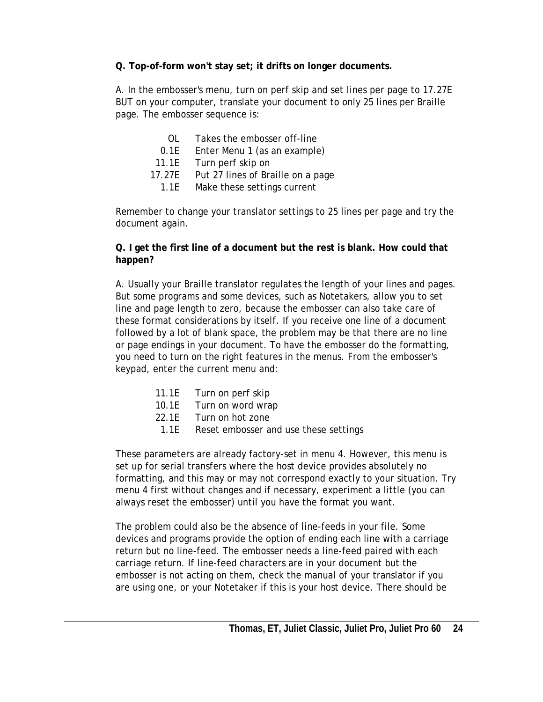**Q. Top-of-form won't stay set; it drifts on longer documents.** 

A. In the embosser's menu, turn on perf skip and set lines per page to 17.27E BUT on your computer, translate your document to only 25 lines per Braille page. The embosser sequence is:

- OL Takes the embosser off-line
- 0.1E Enter Menu 1 (as an example)
- 11.1E Turn perf skip on
- 17.27E Put 27 lines of Braille on a page
	- 1.1E Make these settings current

Remember to change your translator settings to 25 lines per page and try the document again.

#### **Q. I get the first line of a document but the rest is blank. How could that happen?**

A. Usually your Braille translator regulates the length of your lines and pages. But some programs and some devices, such as Notetakers, allow you to set line and page length to zero, because the embosser can also take care of these format considerations by itself. If you receive one line of a document followed by a lot of blank space, the problem may be that there are no line or page endings in your document. To have the embosser do the formatting, you need to turn on the right features in the menus. From the embosser's keypad, enter the current menu and:

- 11.1E Turn on perf skip
- 10.1E Turn on word wrap
- 22.1E Turn on hot zone
	- 1.1E Reset embosser and use these settings

These parameters are already factory-set in menu 4. However, this menu is set up for serial transfers where the host device provides absolutely no formatting, and this may or may not correspond exactly to your situation. Try menu 4 first without changes and if necessary, experiment a little (you can always reset the embosser) until you have the format you want.

The problem could also be the absence of line-feeds in your file. Some devices and programs provide the option of ending each line with a carriage return but no line-feed. The embosser needs a line-feed paired with each carriage return. If line-feed characters are in your document but the embosser is not acting on them, check the manual of your translator if you are using one, or your Notetaker if this is your host device. There should be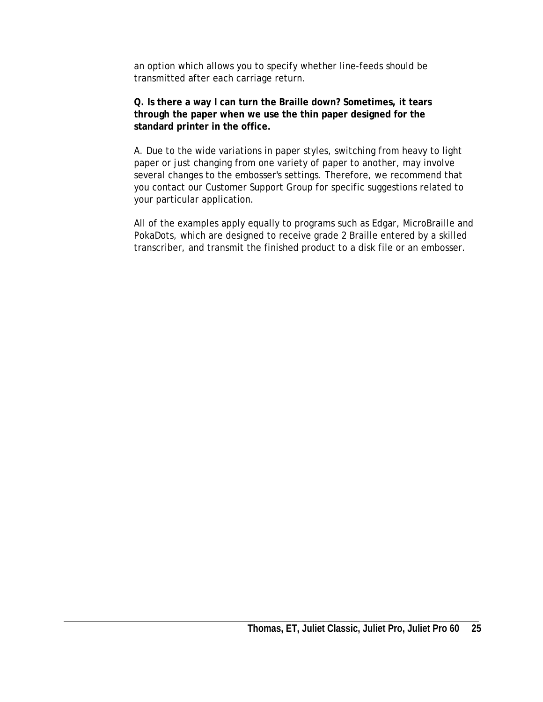an option which allows you to specify whether line-feeds should be transmitted after each carriage return.

**Q. Is there a way I can turn the Braille down? Sometimes, it tears through the paper when we use the thin paper designed for the standard printer in the office.**

A. Due to the wide variations in paper styles, switching from heavy to light paper or just changing from one variety of paper to another, may involve several changes to the embosser's settings. Therefore, we recommend that you contact our Customer Support Group for specific suggestions related to your particular application.

All of the examples apply equally to programs such as Edgar, MicroBraille and PokaDots, which are designed to receive grade 2 Braille entered by a skilled transcriber, and transmit the finished product to a disk file or an embosser.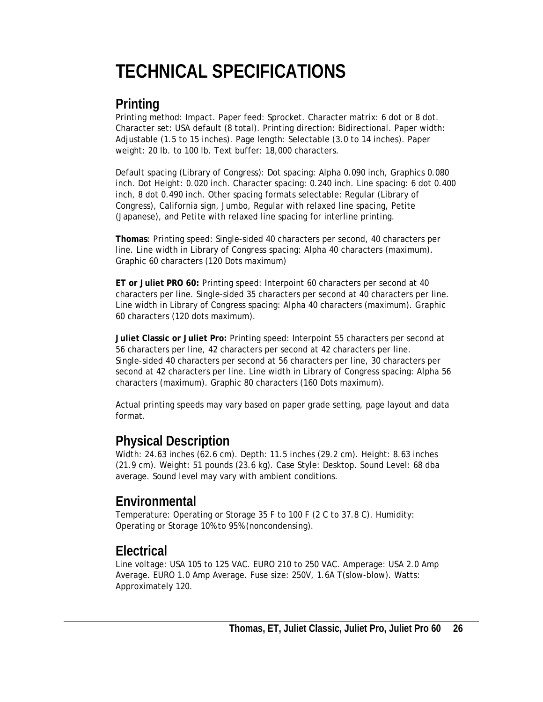# <span id="page-25-0"></span>**TECHNICAL SPECIFICATIONS**

### **Printing**

Printing method: Impact. Paper feed: Sprocket. Character matrix: 6 dot or 8 dot. Character set: USA default (8 total). Printing direction: Bidirectional. Paper width: Adjustable (1.5 to 15 inches). Page length: Selectable (3.0 to 14 inches). Paper weight: 20 lb. to 100 lb. Text buffer: 18,000 characters.

Default spacing (Library of Congress): Dot spacing: Alpha 0.090 inch, Graphics 0.080 inch. Dot Height: 0.020 inch. Character spacing: 0.240 inch. Line spacing: 6 dot 0.400 inch, 8 dot 0.490 inch. Other spacing formats selectable: Regular (Library of Congress), California sign, Jumbo, Regular with relaxed line spacing, Petite (Japanese), and Petite with relaxed line spacing for interline printing.

**Thomas**: Printing speed: Single-sided 40 characters per second, 40 characters per line. Line width in Library of Congress spacing: Alpha 40 characters (maximum). Graphic 60 characters (120 Dots maximum)

**ET or Juliet PRO 60:** Printing speed: Interpoint 60 characters per second at 40 characters per line. Single-sided 35 characters per second at 40 characters per line. Line width in Library of Congress spacing: Alpha 40 characters (maximum). Graphic 60 characters (120 dots maximum).

**Juliet Classic or Juliet Pro:** Printing speed: Interpoint 55 characters per second at 56 characters per line, 42 characters per second at 42 characters per line. Single-sided 40 characters per second at 56 characters per line, 30 characters per second at 42 characters per line. Line width in Library of Congress spacing: Alpha 56 characters (maximum). Graphic 80 characters (160 Dots maximum).

Actual printing speeds may vary based on paper grade setting, page layout and data format.

### **Physical Description**

Width: 24.63 inches (62.6 cm). Depth: 11.5 inches (29.2 cm). Height: 8.63 inches (21.9 cm). Weight: 51 pounds (23.6 kg). Case Style: Desktop. Sound Level: 68 dba average. Sound level may vary with ambient conditions.

## **Environmental**

Temperature: Operating or Storage 35 F to 100 F (2 C to 37.8 C). Humidity: Operating or Storage 10% to 95% (noncondensing).

### **Electrical**

Line voltage: USA 105 to 125 VAC. EURO 210 to 250 VAC. Amperage: USA 2.0 Amp Average. EURO 1.0 Amp Average. Fuse size: 250V, 1.6A T(slow-blow). Watts: Approximately 120.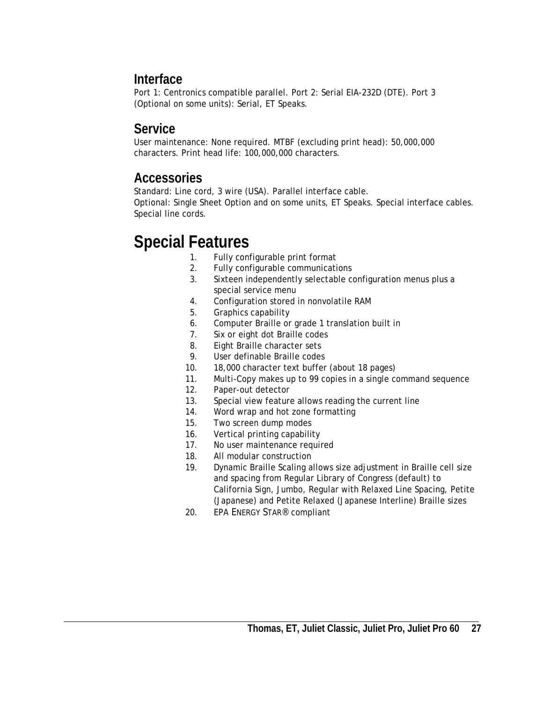### <span id="page-26-0"></span>**Interface**

Port 1: Centronics compatible parallel. Port 2: Serial EIA-232D (DTE). Port 3 (Optional on some units): Serial, ET Speaks.

### **Service**

User maintenance: None required. MTBF (excluding print head): 50,000,000 characters. Print head life: 100,000,000 characters.

### **Accessories**

Standard: Line cord, 3 wire (USA). Parallel interface cable. Optional: Single Sheet Option and on some units, ET Speaks. Special interface cables. Special line cords.

# **Special Features**

- 1. Fully configurable print format
- 2. Fully configurable communications
- 3. Sixteen independently selectable configuration menus plus a special service menu
- 4. Configuration stored in nonvolatile RAM
- 5. Graphics capability
- 6. Computer Braille or grade 1 translation built in
- 7. Six or eight dot Braille codes
- 8. Eight Braille character sets
- 9. User definable Braille codes
- 10. 18,000 character text buffer (about 18 pages)
- 11. Multi-Copy makes up to 99 copies in a single command sequence
- 12. Paper-out detector
- 13. Special view feature allows reading the current line
- 14. Word wrap and hot zone formatting
- 15. Two screen dump modes
- 16. Vertical printing capability
- 17. No user maintenance required
- 18. All modular construction
- 19. Dynamic Braille Scaling allows size adjustment in Braille cell size and spacing from Regular Library of Congress (default) to California Sign, Jumbo, Regular with Relaxed Line Spacing, Petite (Japanese) and Petite Relaxed (Japanese Interline) Braille sizes
- 20. EPA ENERGY STAR® compliant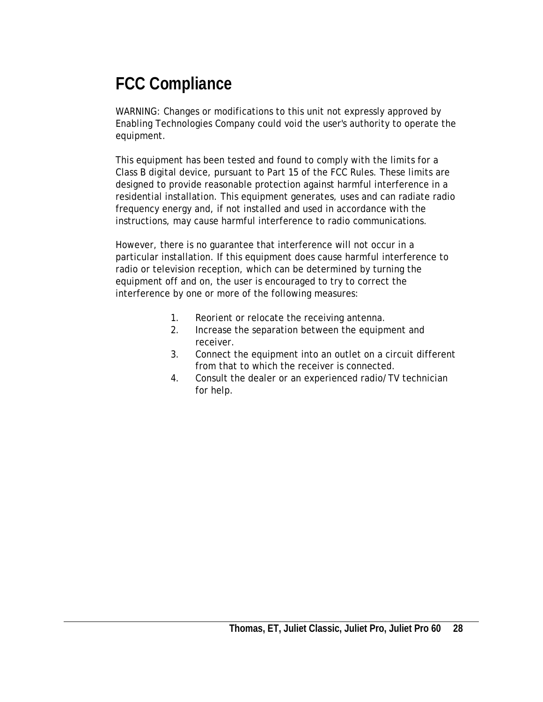# <span id="page-27-0"></span>**FCC Compliance**

WARNING: Changes or modifications to this unit not expressly approved by Enabling Technologies Company could void the user's authority to operate the equipment.

This equipment has been tested and found to comply with the limits for a Class B digital device, pursuant to Part 15 of the FCC Rules. These limits are designed to provide reasonable protection against harmful interference in a residential installation. This equipment generates, uses and can radiate radio frequency energy and, if not installed and used in accordance with the instructions, may cause harmful interference to radio communications.

However, there is no guarantee that interference will not occur in a particular installation. If this equipment does cause harmful interference to radio or television reception, which can be determined by turning the equipment off and on, the user is encouraged to try to correct the interference by one or more of the following measures:

- 1. Reorient or relocate the receiving antenna.
- 2. Increase the separation between the equipment and receiver.
- 3. Connect the equipment into an outlet on a circuit different from that to which the receiver is connected.
- 4. Consult the dealer or an experienced radio/TV technician for help.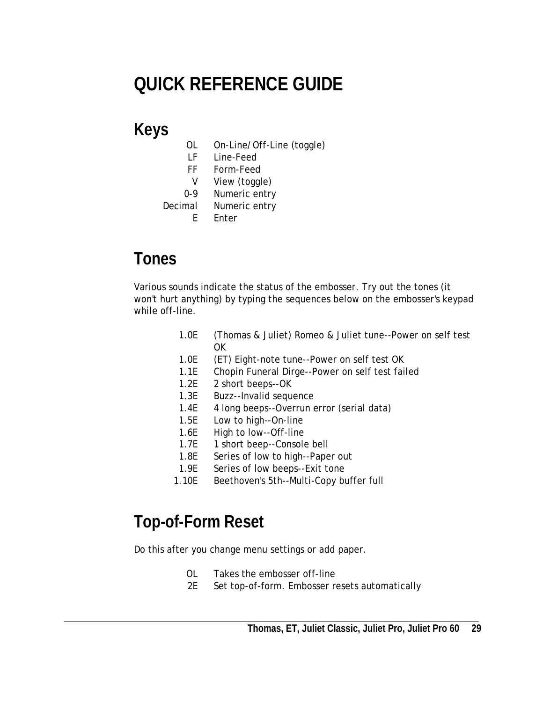# <span id="page-28-0"></span>**QUICK REFERENCE GUIDE**

# **Keys**

- OL On-Line/Off-Line (toggle)
- LF Line-Feed
- FF Form-Feed
- V View (toggle)
- 0-9 Numeric entry
- Decimal Numeric entry
	- E Enter

## **Tones**

Various sounds indicate the status of the embosser. Try out the tones (it won't hurt anything) by typing the sequences below on the embosser's keypad while off-line.

- 1.0E (Thomas & Juliet) Romeo & Juliet tune--Power on self test OK
- 1.0E (ET) Eight-note tune--Power on self test OK
- 1.1E Chopin Funeral Dirge--Power on self test failed
- 1.2E 2 short beeps--OK
- 1.3E Buzz--Invalid sequence
- 1.4E 4 long beeps--Overrun error (serial data)
- 1.5E Low to high--On-line
- 1.6E High to low--Off-line
- 1.7E 1 short beep--Console bell
- 1.8E Series of low to high--Paper out
- 1.9E Series of low beeps--Exit tone
- 1.10E Beethoven's 5th--Multi-Copy buffer full

## **Top-of-Form Reset**

Do this after you change menu settings or add paper.

- OL Takes the embosser off-line
- 2E Set top-of-form. Embosser resets automatically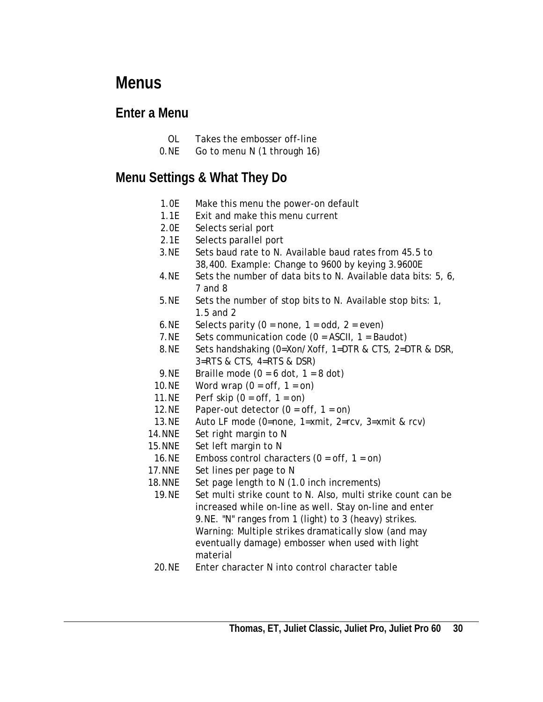## <span id="page-29-0"></span>**Menus**

### **Enter a Menu**

- OL Takes the embosser off-line
- 0.NE Go to menu N (1 through 16)

## **Menu Settings & What They Do**

- 1.0E Make this menu the power-on default
- 1.1E Exit and make this menu current
- 2.0E Selects serial port
- 2.1E Selects parallel port
- 3.NE Sets baud rate to N. Available baud rates from 45.5 to 38,400. Example: Change to 9600 by keying 3.9600E
- 4.NE Sets the number of data bits to N. Available data bits: 5, 6, 7 and 8
- 5.NE Sets the number of stop bits to N. Available stop bits: 1, 1.5 and 2
- 6.NE Selects parity  $(0 = none, 1 = odd, 2 = even)$
- 7.NE Sets communication code  $(0 = ASCII, 1 = Bandot)$
- 8.NE Sets handshaking (0=Xon/Xoff, 1=DTR & CTS, 2=DTR & DSR, 3=RTS & CTS, 4=RTS & DSR)
- 9.NE Braille mode  $(0 = 6$  dot,  $1 = 8$  dot)
- 10.NE Word wrap  $(0 = \text{off}, 1 = \text{on})$
- 11.NE Perf skip  $(0 = \text{off}, 1 = \text{on})$
- 12.NE Paper-out detector  $(0 = \text{off}, 1 = \text{on})$
- 13.NE Auto LF mode (0=none, 1=xmit, 2=rcv, 3=xmit & rcv)
- 14.NNE Set right margin to N
- 15.NNE Set left margin to N
- 16.NE Emboss control characters  $(0 = \text{off}, 1 = \text{on})$
- 17. NNE Set lines per page to N
- 18.NNE Set page length to N (1.0 inch increments)
- 19.NE Set multi strike count to N. Also, multi strike count can be increased while on-line as well. Stay on-line and enter 9.NE. "N" ranges from 1 (light) to 3 (heavy) strikes. Warning: Multiple strikes dramatically slow (and may eventually damage) embosser when used with light material
- 20.NE Enter character N into control character table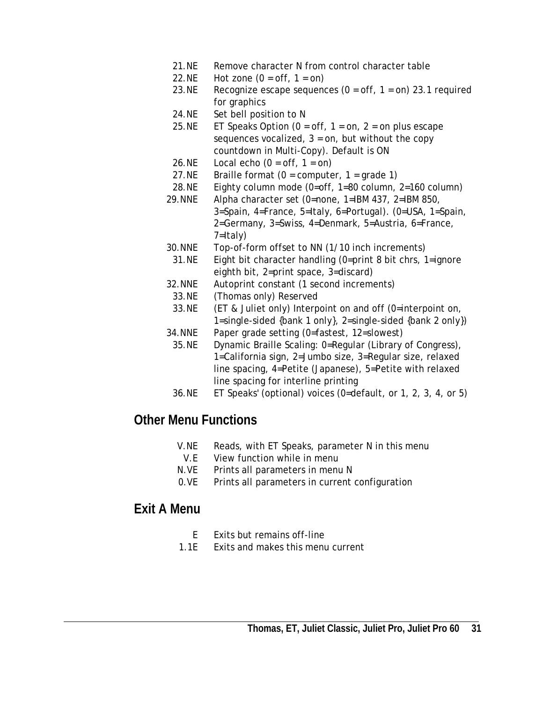- 21.NE Remove character N from control character table
- 22.NE Hot zone  $(0 = \text{off}, 1 = \text{on})$
- 23.NE Recognize escape sequences  $(0 = off, 1 = on)$  23.1 required for graphics
- 24.NE Set bell position to N
- 25.NE ET Speaks Option ( $0 = \text{off}$ ,  $1 = \text{on}$ ,  $2 = \text{on}$  plus escape sequences vocalized,  $3 = on$ , but without the copy countdown in Multi-Copy). Default is ON
- 26.NE Local echo  $(0 = \text{off}, 1 = \text{on})$
- 27.NE Braille format  $(0 =$  computer,  $1 =$  grade 1)
- 28.NE Eighty column mode (0=off, 1=80 column, 2=160 column)
- 29.NNE Alpha character set (0=none, 1=IBM 437, 2=IBM 850, 3=Spain, 4=France, 5=Italy, 6=Portugal). (0=USA, 1=Spain, 2=Germany, 3=Swiss, 4=Denmark, 5=Austria, 6=France, 7=Italy)
- 30.NNE Top-of-form offset to NN (1/10 inch increments)
- 31.NE Eight bit character handling (0=print 8 bit chrs, 1=ignore eighth bit, 2=print space, 3=discard)
- 32.NNE Autoprint constant (1 second increments)
- 33.NE (Thomas only) Reserved
- 33.NE (ET & Juliet only) Interpoint on and off (0=interpoint on, 1=single-sided {bank 1 only}, 2=single-sided {bank 2 only})
- 34.NNE Paper grade setting (0=fastest, 12=slowest)
- 35.NE Dynamic Braille Scaling: 0=Regular (Library of Congress), 1=California sign, 2=Jumbo size, 3=Regular size, relaxed line spacing, 4=Petite (Japanese), 5=Petite with relaxed line spacing for interline printing
- 36.NE ET Speaks' (optional) voices (0=default, or 1, 2, 3, 4, or 5)

### **Other Menu Functions**

- V.NE Reads, with ET Speaks, parameter N in this menu
- V.E View function while in menu
- N.VE Prints all parameters in menu N
- 0.VE Prints all parameters in current configuration

#### **Exit A Menu**

- E Exits but remains off-line
- 1.1E Exits and makes this menu current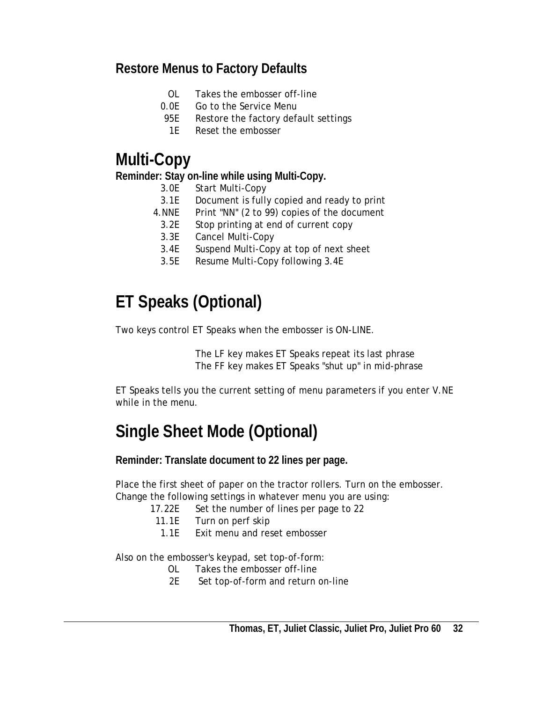### <span id="page-31-0"></span>**Restore Menus to Factory Defaults**

- OL Takes the embosser off-line
- 0.0E Go to the Service Menu
- 95E Restore the factory default settings
	- 1E Reset the embosser

## **Multi-Copy**

#### **Reminder: Stay on-line while using Multi-Copy.**

- 3.0E Start Multi-Copy
- 3.1E Document is fully copied and ready to print
- 4.NNE Print "NN" (2 to 99) copies of the document
- 3.2E Stop printing at end of current copy
- 3.3E Cancel Multi-Copy
- 3.4E Suspend Multi-Copy at top of next sheet
- 3.5E Resume Multi-Copy following 3.4E

## **ET Speaks (Optional)**

Two keys control ET Speaks when the embosser is ON-LINE.

 The LF key makes ET Speaks repeat its last phrase The FF key makes ET Speaks "shut up" in mid-phrase

ET Speaks tells you the current setting of menu parameters if you enter V.NE while in the menu.

# **Single Sheet Mode (Optional)**

**Reminder: Translate document to 22 lines per page.** 

Place the first sheet of paper on the tractor rollers. Turn on the embosser. Change the following settings in whatever menu you are using:

17.22E Set the number of lines per page to 22

- 11.1E Turn on perf skip
- 1.1E Exit menu and reset embosser

Also on the embosser's keypad, set top-of-form:

- OL Takes the embosser off-line
- 2E Set top-of-form and return on-line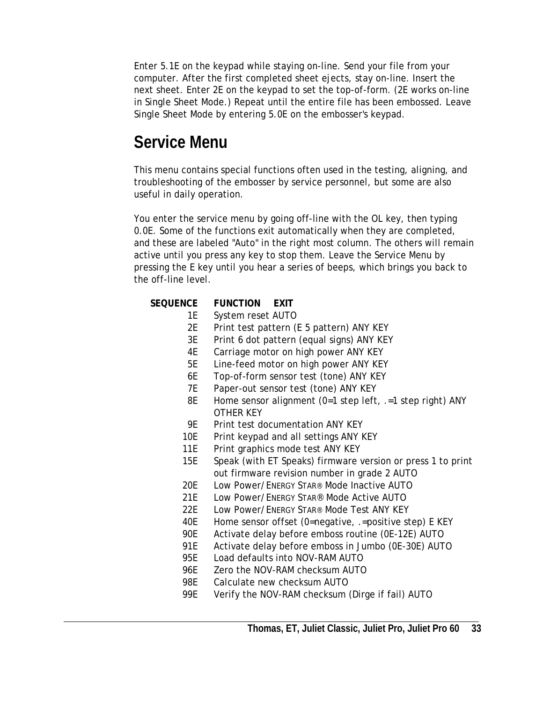<span id="page-32-0"></span>Enter 5.1E on the keypad while staying on-line. Send your file from your computer. After the first completed sheet ejects, stay on-line. Insert the next sheet. Enter 2E on the keypad to set the top-of-form. (2E works on-line in Single Sheet Mode.) Repeat until the entire file has been embossed. Leave Single Sheet Mode by entering 5.0E on the embosser's keypad.

## **Service Menu**

This menu contains special functions often used in the testing, aligning, and troubleshooting of the embosser by service personnel, but some are also useful in daily operation.

You enter the service menu by going off-line with the OL key, then typing 0.0E. Some of the functions exit automatically when they are completed, and these are labeled "Auto" in the right most column. The others will remain active until you press any key to stop them. Leave the Service Menu by pressing the E key until you hear a series of beeps, which brings you back to the off-line level.

#### **SEQUENCE FUNCTION EXIT**

- 1E System reset AUTO
- 2E Print test pattern (E 5 pattern) ANY KEY
- 3E Print 6 dot pattern (equal signs) ANY KEY
- 4E Carriage motor on high power ANY KEY
- 5E Line-feed motor on high power ANY KEY
- 6E Top-of-form sensor test (tone) ANY KEY
- 7E Paper-out sensor test (tone) ANY KEY
- 8E Home sensor alignment (0=1 step left, .=1 step right) ANY OTHER KEY
- 9E Print test documentation ANY KEY
- 10E Print keypad and all settings ANY KEY
- 11E Print graphics mode test ANY KEY
- 15E Speak (with ET Speaks) firmware version or press 1 to print out firmware revision number in grade 2 AUTO
- 20E Low Power/ENERGY STAR® Mode Inactive AUTO
- 21E Low Power/ENERGY STAR® Mode Active AUTO
- 22E Low Power/ENERGY STAR® Mode Test ANY KEY
- 40E Home sensor offset (0=negative, .=positive step) E KEY
- 90E Activate delay before emboss routine (0E-12E) AUTO
- 91E Activate delay before emboss in Jumbo (0E-30E) AUTO
- 95E Load defaults into NOV-RAM AUTO
- 96E Zero the NOV-RAM checksum AUTO
- 98E Calculate new checksum AUTO
- 99E Verify the NOV-RAM checksum (Dirge if fail) AUTO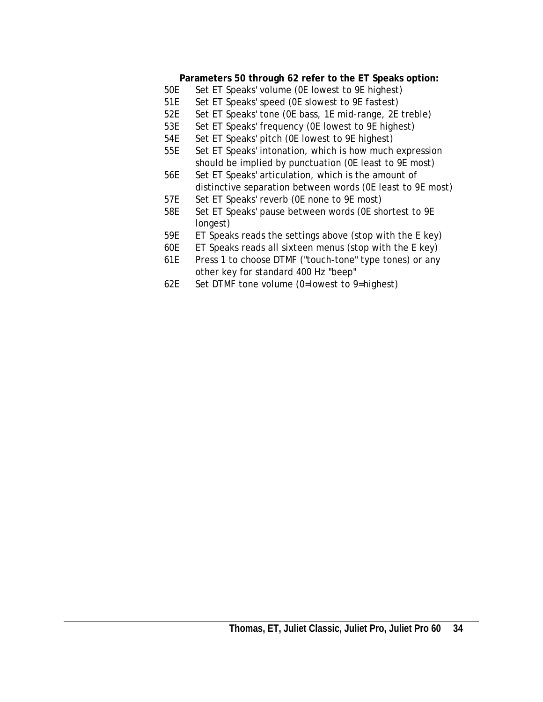#### **Parameters 50 through 62 refer to the ET Speaks option:**

- 50E Set ET Speaks' volume (0E lowest to 9E highest)
- 51E Set ET Speaks' speed (0E slowest to 9E fastest)
- 52E Set ET Speaks' tone (0E bass, 1E mid-range, 2E treble)
- 53E Set ET Speaks' frequency (0E lowest to 9E highest)
- 54E Set ET Speaks' pitch (0E lowest to 9E highest)
- 55E Set ET Speaks' intonation, which is how much expression should be implied by punctuation (0E least to 9E most)
- 56E Set ET Speaks' articulation, which is the amount of distinctive separation between words (0E least to 9E most)
- 57E Set ET Speaks' reverb (0E none to 9E most)
- 58E Set ET Speaks' pause between words (0E shortest to 9E longest)
- 59E ET Speaks reads the settings above (stop with the E key)
- 60E ET Speaks reads all sixteen menus (stop with the E key)
- 61E Press 1 to choose DTMF ("touch-tone" type tones) or any other key for standard 400 Hz "beep"
- 62E Set DTMF tone volume (0=lowest to 9=highest)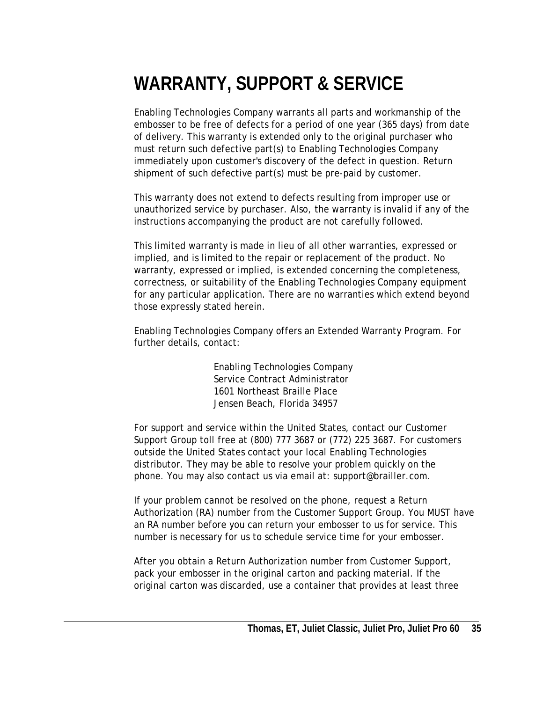# <span id="page-34-0"></span>**WARRANTY, SUPPORT & SERVICE**

Enabling Technologies Company warrants all parts and workmanship of the embosser to be free of defects for a period of one year (365 days) from date of delivery. This warranty is extended only to the original purchaser who must return such defective part(s) to Enabling Technologies Company immediately upon customer's discovery of the defect in question. Return shipment of such defective part(s) must be pre-paid by customer.

This warranty does not extend to defects resulting from improper use or unauthorized service by purchaser. Also, the warranty is invalid if any of the instructions accompanying the product are not carefully followed.

This limited warranty is made in lieu of all other warranties, expressed or implied, and is limited to the repair or replacement of the product. No warranty, expressed or implied, is extended concerning the completeness, correctness, or suitability of the Enabling Technologies Company equipment for any particular application. There are no warranties which extend beyond those expressly stated herein.

Enabling Technologies Company offers an Extended Warranty Program. For further details, contact:

> Enabling Technologies Company Service Contract Administrator 1601 Northeast Braille Place Jensen Beach, Florida 34957

For support and service within the United States, contact our Customer Support Group toll free at (800) 777 3687 or (772) 225 3687. For customers outside the United States contact your local Enabling Technologies distributor. They may be able to resolve your problem quickly on the phone. You may also contact us via email at: support@brailler.com.

If your problem cannot be resolved on the phone, request a Return Authorization (RA) number from the Customer Support Group. You MUST have an RA number before you can return your embosser to us for service. This number is necessary for us to schedule service time for your embosser.

After you obtain a Return Authorization number from Customer Support, pack your embosser in the original carton and packing material. If the original carton was discarded, use a container that provides at least three